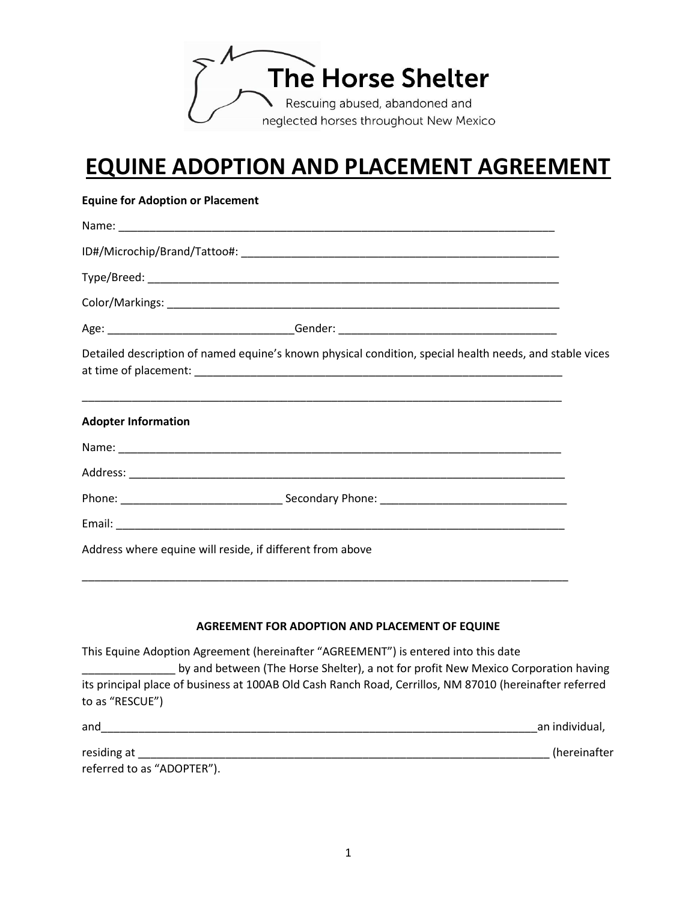

## **EQUINE ADOPTION AND PLACEMENT AGREEMENT**

| <b>Equine for Adoption or Placement</b> |                                                                                                                                                                          |  |  |  |
|-----------------------------------------|--------------------------------------------------------------------------------------------------------------------------------------------------------------------------|--|--|--|
|                                         |                                                                                                                                                                          |  |  |  |
|                                         |                                                                                                                                                                          |  |  |  |
|                                         |                                                                                                                                                                          |  |  |  |
|                                         |                                                                                                                                                                          |  |  |  |
|                                         |                                                                                                                                                                          |  |  |  |
|                                         | Detailed description of named equine's known physical condition, special health needs, and stable vices                                                                  |  |  |  |
| <b>Adopter Information</b>              | <u> 1989 - Johann Harry Harry Harry Harry Harry Harry Harry Harry Harry Harry Harry Harry Harry Harry Harry Harry</u>                                                    |  |  |  |
|                                         |                                                                                                                                                                          |  |  |  |
|                                         |                                                                                                                                                                          |  |  |  |
|                                         |                                                                                                                                                                          |  |  |  |
|                                         |                                                                                                                                                                          |  |  |  |
|                                         | Address where equine will reside, if different from above                                                                                                                |  |  |  |
|                                         | <u> 1989 - Johann Harry Harry Harry Harry Harry Harry Harry Harry Harry Harry Harry Harry Harry Harry Harry Harry</u>                                                    |  |  |  |
|                                         | AGREEMENT FOR ADOPTION AND PLACEMENT OF EQUINE                                                                                                                           |  |  |  |
|                                         | This Equine Adoption Agreement (hereinafter "AGREEMENT") is entered into this date<br>by and between (The Horse Shelter), a not for profit New Mexico Corporation having |  |  |  |
| to as "RESCUE")                         | its principal place of business at 100AB Old Cash Ranch Road, Cerrillos, NM 87010 (hereinafter referred                                                                  |  |  |  |

| and                        | an individual, |
|----------------------------|----------------|
| residing at                | (hereinafter   |
| referred to as "ADOPTER"). |                |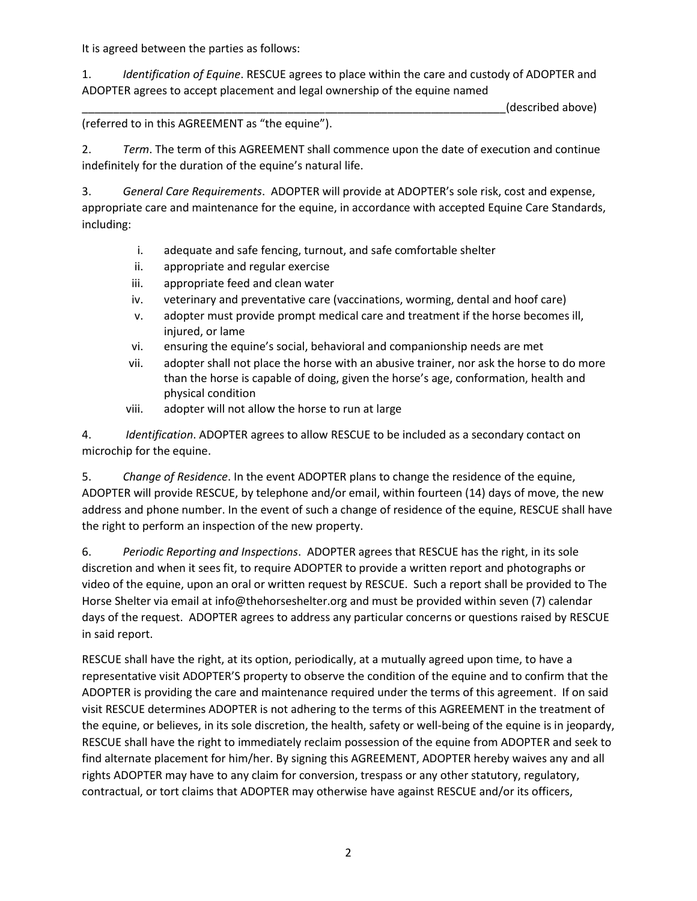It is agreed between the parties as follows:

1. *Identification of Equine*. RESCUE agrees to place within the care and custody of ADOPTER and ADOPTER agrees to accept placement and legal ownership of the equine named

(described above)

(referred to in this AGREEMENT as "the equine").

2. *Term*. The term of this AGREEMENT shall commence upon the date of execution and continue indefinitely for the duration of the equine's natural life.

3. *General Care Requirements*. ADOPTER will provide at ADOPTER's sole risk, cost and expense, appropriate care and maintenance for the equine, in accordance with accepted Equine Care Standards, including:

- i. adequate and safe fencing, turnout, and safe comfortable shelter
- ii. appropriate and regular exercise
- iii. appropriate feed and clean water
- iv. veterinary and preventative care (vaccinations, worming, dental and hoof care)
- v. adopter must provide prompt medical care and treatment if the horse becomes ill, injured, or lame
- vi. ensuring the equine's social, behavioral and companionship needs are met
- vii. adopter shall not place the horse with an abusive trainer, nor ask the horse to do more than the horse is capable of doing, given the horse's age, conformation, health and physical condition
- viii. adopter will not allow the horse to run at large

4. *Identification*. ADOPTER agrees to allow RESCUE to be included as a secondary contact on microchip for the equine.

5. *Change of Residence*. In the event ADOPTER plans to change the residence of the equine, ADOPTER will provide RESCUE, by telephone and/or email, within fourteen (14) days of move, the new address and phone number. In the event of such a change of residence of the equine, RESCUE shall have the right to perform an inspection of the new property.

6. *Periodic Reporting and Inspections*. ADOPTER agrees that RESCUE has the right, in its sole discretion and when it sees fit, to require ADOPTER to provide a written report and photographs or video of the equine, upon an oral or written request by RESCUE. Such a report shall be provided to The Horse Shelter via email at info@thehorseshelter.org and must be provided within seven (7) calendar days of the request. ADOPTER agrees to address any particular concerns or questions raised by RESCUE in said report.

RESCUE shall have the right, at its option, periodically, at a mutually agreed upon time, to have a representative visit ADOPTER'S property to observe the condition of the equine and to confirm that the ADOPTER is providing the care and maintenance required under the terms of this agreement. If on said visit RESCUE determines ADOPTER is not adhering to the terms of this AGREEMENT in the treatment of the equine, or believes, in its sole discretion, the health, safety or well-being of the equine is in jeopardy, RESCUE shall have the right to immediately reclaim possession of the equine from ADOPTER and seek to find alternate placement for him/her. By signing this AGREEMENT, ADOPTER hereby waives any and all rights ADOPTER may have to any claim for conversion, trespass or any other statutory, regulatory, contractual, or tort claims that ADOPTER may otherwise have against RESCUE and/or its officers,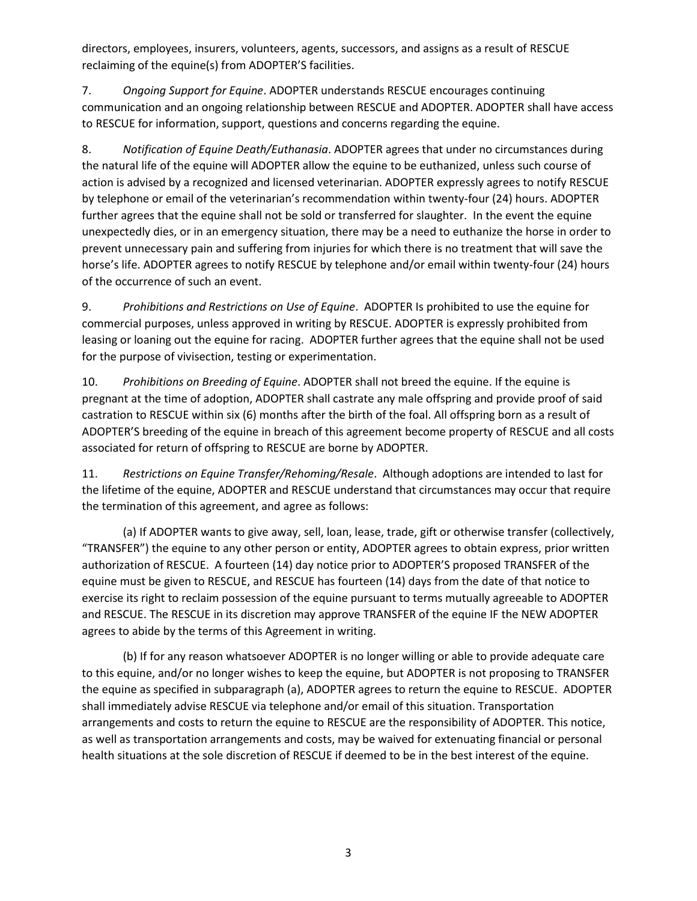directors, employees, insurers, volunteers, agents, successors, and assigns as a result of RESCUE reclaiming of the equine(s) from ADOPTER'S facilities.

7. *Ongoing Support for Equine*. ADOPTER understands RESCUE encourages continuing communication and an ongoing relationship between RESCUE and ADOPTER. ADOPTER shall have access to RESCUE for information, support, questions and concerns regarding the equine.

8. *Notification of Equine Death/Euthanasia*. ADOPTER agrees that under no circumstances during the natural life of the equine will ADOPTER allow the equine to be euthanized, unless such course of action is advised by a recognized and licensed veterinarian. ADOPTER expressly agrees to notify RESCUE by telephone or email of the veterinarian's recommendation within twenty-four (24) hours. ADOPTER further agrees that the equine shall not be sold or transferred for slaughter. In the event the equine unexpectedly dies, or in an emergency situation, there may be a need to euthanize the horse in order to prevent unnecessary pain and suffering from injuries for which there is no treatment that will save the horse's life. ADOPTER agrees to notify RESCUE by telephone and/or email within twenty-four (24) hours of the occurrence of such an event.

9. *Prohibitions and Restrictions on Use of Equine*. ADOPTER Is prohibited to use the equine for commercial purposes, unless approved in writing by RESCUE. ADOPTER is expressly prohibited from leasing or loaning out the equine for racing. ADOPTER further agrees that the equine shall not be used for the purpose of vivisection, testing or experimentation.

10. *Prohibitions on Breeding of Equine*. ADOPTER shall not breed the equine. If the equine is pregnant at the time of adoption, ADOPTER shall castrate any male offspring and provide proof of said castration to RESCUE within six (6) months after the birth of the foal. All offspring born as a result of ADOPTER'S breeding of the equine in breach of this agreement become property of RESCUE and all costs associated for return of offspring to RESCUE are borne by ADOPTER.

11. *Restrictions on Equine Transfer/Rehoming/Resale*. Although adoptions are intended to last for the lifetime of the equine, ADOPTER and RESCUE understand that circumstances may occur that require the termination of this agreement, and agree as follows:

(a) If ADOPTER wants to give away, sell, loan, lease, trade, gift or otherwise transfer (collectively, "TRANSFER") the equine to any other person or entity, ADOPTER agrees to obtain express, prior written authorization of RESCUE. A fourteen (14) day notice prior to ADOPTER'S proposed TRANSFER of the equine must be given to RESCUE, and RESCUE has fourteen (14) days from the date of that notice to exercise its right to reclaim possession of the equine pursuant to terms mutually agreeable to ADOPTER and RESCUE. The RESCUE in its discretion may approve TRANSFER of the equine IF the NEW ADOPTER agrees to abide by the terms of this Agreement in writing.

(b) If for any reason whatsoever ADOPTER is no longer willing or able to provide adequate care to this equine, and/or no longer wishes to keep the equine, but ADOPTER is not proposing to TRANSFER the equine as specified in subparagraph (a), ADOPTER agrees to return the equine to RESCUE. ADOPTER shall immediately advise RESCUE via telephone and/or email of this situation. Transportation arrangements and costs to return the equine to RESCUE are the responsibility of ADOPTER. This notice, as well as transportation arrangements and costs, may be waived for extenuating financial or personal health situations at the sole discretion of RESCUE if deemed to be in the best interest of the equine.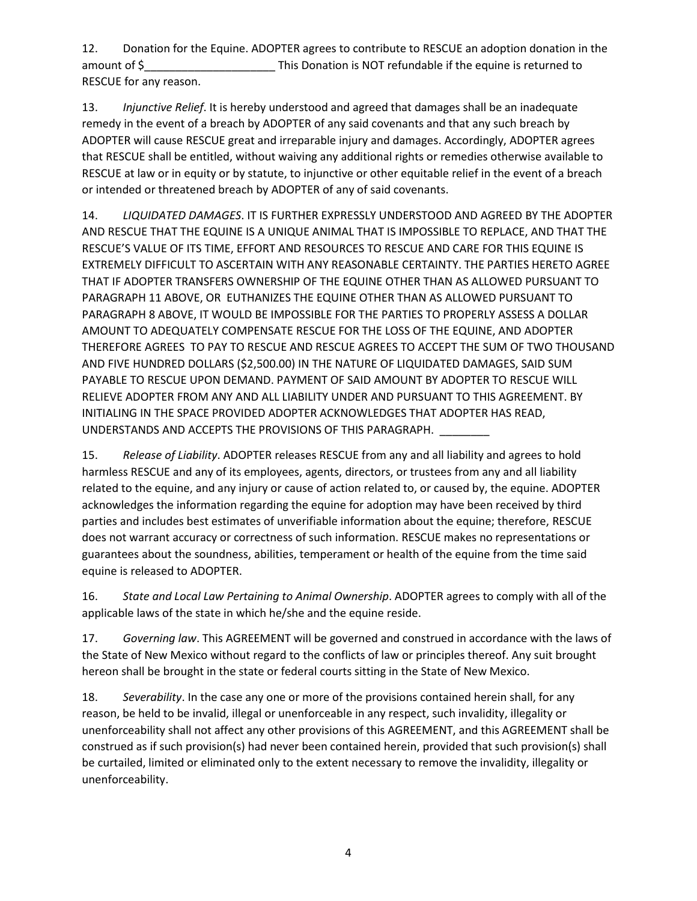12. Donation for the Equine. ADOPTER agrees to contribute to RESCUE an adoption donation in the amount of \$ This Donation is NOT refundable if the equine is returned to RESCUE for any reason.

13. *Injunctive Relief*. It is hereby understood and agreed that damages shall be an inadequate remedy in the event of a breach by ADOPTER of any said covenants and that any such breach by ADOPTER will cause RESCUE great and irreparable injury and damages. Accordingly, ADOPTER agrees that RESCUE shall be entitled, without waiving any additional rights or remedies otherwise available to RESCUE at law or in equity or by statute, to injunctive or other equitable relief in the event of a breach or intended or threatened breach by ADOPTER of any of said covenants.

14. *LIQUIDATED DAMAGES*. IT IS FURTHER EXPRESSLY UNDERSTOOD AND AGREED BY THE ADOPTER AND RESCUE THAT THE EQUINE IS A UNIQUE ANIMAL THAT IS IMPOSSIBLE TO REPLACE, AND THAT THE RESCUE'S VALUE OF ITS TIME, EFFORT AND RESOURCES TO RESCUE AND CARE FOR THIS EQUINE IS EXTREMELY DIFFICULT TO ASCERTAIN WITH ANY REASONABLE CERTAINTY. THE PARTIES HERETO AGREE THAT IF ADOPTER TRANSFERS OWNERSHIP OF THE EQUINE OTHER THAN AS ALLOWED PURSUANT TO PARAGRAPH 11 ABOVE, OR EUTHANIZES THE EQUINE OTHER THAN AS ALLOWED PURSUANT TO PARAGRAPH 8 ABOVE, IT WOULD BE IMPOSSIBLE FOR THE PARTIES TO PROPERLY ASSESS A DOLLAR AMOUNT TO ADEQUATELY COMPENSATE RESCUE FOR THE LOSS OF THE EQUINE, AND ADOPTER THEREFORE AGREES TO PAY TO RESCUE AND RESCUE AGREES TO ACCEPT THE SUM OF TWO THOUSAND AND FIVE HUNDRED DOLLARS (\$2,500.00) IN THE NATURE OF LIQUIDATED DAMAGES, SAID SUM PAYABLE TO RESCUE UPON DEMAND. PAYMENT OF SAID AMOUNT BY ADOPTER TO RESCUE WILL RELIEVE ADOPTER FROM ANY AND ALL LIABILITY UNDER AND PURSUANT TO THIS AGREEMENT. BY INITIALING IN THE SPACE PROVIDED ADOPTER ACKNOWLEDGES THAT ADOPTER HAS READ, UNDERSTANDS AND ACCEPTS THE PROVISIONS OF THIS PARAGRAPH.

15. *Release of Liability*. ADOPTER releases RESCUE from any and all liability and agrees to hold harmless RESCUE and any of its employees, agents, directors, or trustees from any and all liability related to the equine, and any injury or cause of action related to, or caused by, the equine. ADOPTER acknowledges the information regarding the equine for adoption may have been received by third parties and includes best estimates of unverifiable information about the equine; therefore, RESCUE does not warrant accuracy or correctness of such information. RESCUE makes no representations or guarantees about the soundness, abilities, temperament or health of the equine from the time said equine is released to ADOPTER.

16. *State and Local Law Pertaining to Animal Ownership*. ADOPTER agrees to comply with all of the applicable laws of the state in which he/she and the equine reside.

17. *Governing law*. This AGREEMENT will be governed and construed in accordance with the laws of the State of New Mexico without regard to the conflicts of law or principles thereof. Any suit brought hereon shall be brought in the state or federal courts sitting in the State of New Mexico.

18. *Severability*. In the case any one or more of the provisions contained herein shall, for any reason, be held to be invalid, illegal or unenforceable in any respect, such invalidity, illegality or unenforceability shall not affect any other provisions of this AGREEMENT, and this AGREEMENT shall be construed as if such provision(s) had never been contained herein, provided that such provision(s) shall be curtailed, limited or eliminated only to the extent necessary to remove the invalidity, illegality or unenforceability.